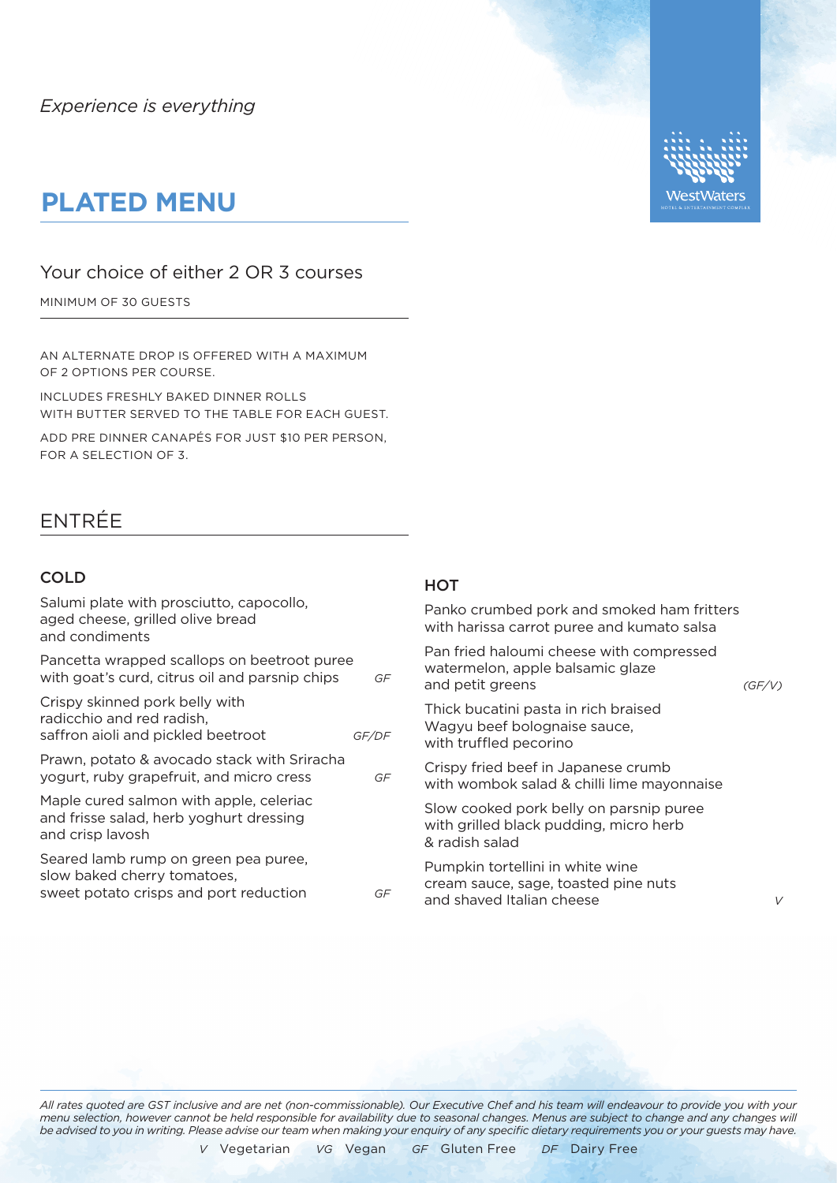## **PLATED MENU**

### Your choice of either 2 OR 3 courses

MINIMUM OF 30 GUESTS

AN ALTERNATE DROP IS OFFERED WITH A MAXIMUM OF 2 OPTIONS PER COURSE.

INCLUDES FRESHLY BAKED DINNER ROLLS WITH BUTTER SERVED TO THE TABLE FOR EACH GUEST.

ADD PRE DINNER CANAPÉS FOR JUST \$10 PER PERSON, FOR A SELECTION OF 3.

### ENTRÉE

#### COLD

| Salumi plate with prosciutto, capocollo,<br>aged cheese, grilled olive bread<br>and condiments                |       | Panko crumbed pork and smoked ham fritters<br>with harissa carrot puree and kumato salsa              |        |
|---------------------------------------------------------------------------------------------------------------|-------|-------------------------------------------------------------------------------------------------------|--------|
| Pancetta wrapped scallops on beetroot puree<br>with goat's curd, citrus oil and parsnip chips                 | GF    | Pan fried haloumi cheese with compressed<br>watermelon, apple balsamic glaze<br>and petit greens      | (GF/V) |
| Crispy skinned pork belly with<br>radicchio and red radish,<br>saffron aioli and pickled beetroot             | GF/DF | Thick bucatini pasta in rich braised<br>Wagyu beef bolognaise sauce,<br>with truffled pecorino        |        |
| Prawn, potato & avocado stack with Sriracha<br>yogurt, ruby grapefruit, and micro cress                       | GF    | Crispy fried beef in Japanese crumb<br>with wombok salad & chilli lime mayonnaise                     |        |
| Maple cured salmon with apple, celeriac<br>and frisse salad, herb yoghurt dressing<br>and crisp lavosh        |       | Slow cooked pork belly on parsnip puree<br>with grilled black pudding, micro herb<br>& radish salad   |        |
| Seared lamb rump on green pea puree,<br>slow baked cherry tomatoes,<br>sweet potato crisps and port reduction | GF    | Pumpkin tortellini in white wine<br>cream sauce, sage, toasted pine nuts<br>and shaved Italian cheese |        |
|                                                                                                               |       |                                                                                                       |        |

**HOT** 

*All rates quoted are GST inclusive and are net (non-commissionable). Our Executive Chef and his team will endeavour to provide you with your menu selection, however cannot be held responsible for availability due to seasonal changes. Menus are subject to change and any changes will be advised to you in writing. Please advise our team when making your enquiry of any specific dietary requirements you or your guests may have.*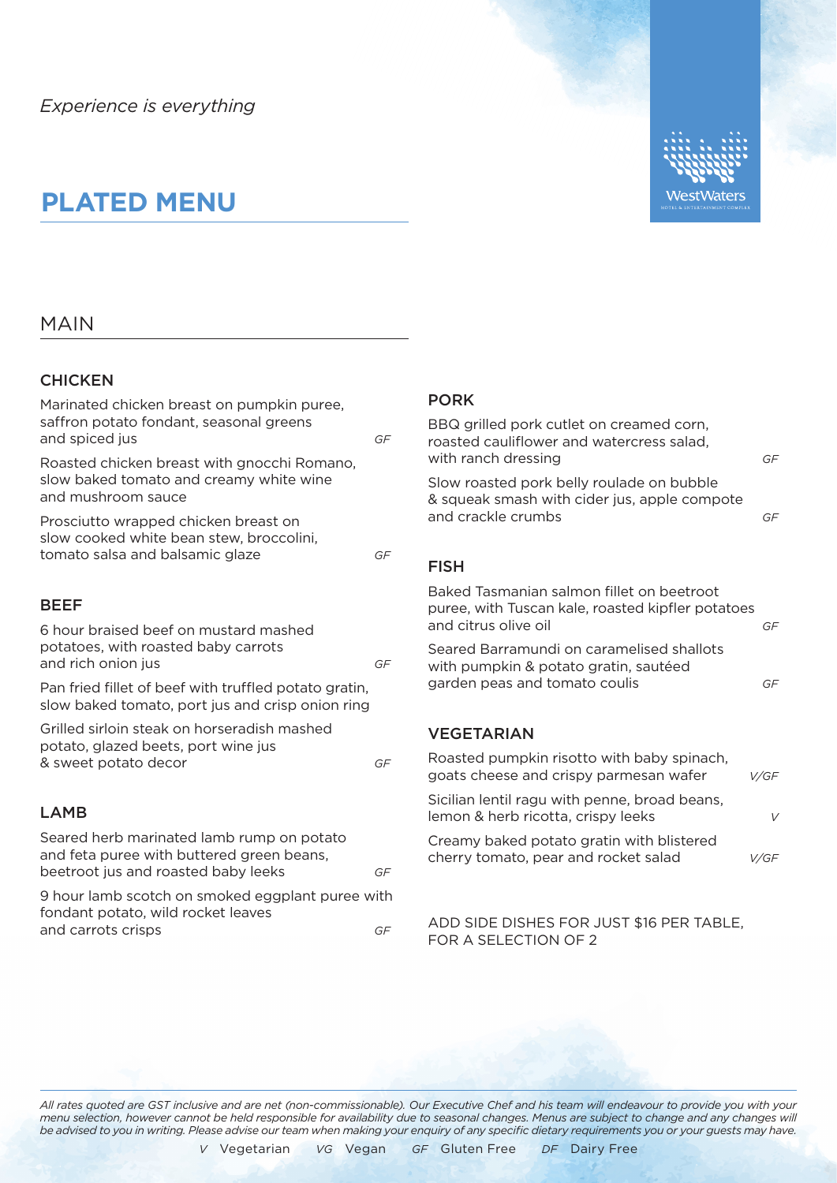# **PLATED MENU**

#### MAIN

#### **CHICKEN**

Marinated chicken breast on pumpkin puree, saffron potato fondant, seasonal greens and spiced jus *GF* Roasted chicken breast with gnocchi Romano, slow baked tomato and creamy white wine and mushroom sauce Prosciutto wrapped chicken breast on slow cooked white bean stew, broccolini, tomato salsa and balsamic glaze *GF* BEEF 6 hour braised beef on mustard mashed potatoes, with roasted baby carrots and rich onion jus *GF* Pan fried fillet of beef with truffled potato gratin, slow baked tomato, port jus and crisp onion ring Grilled sirloin steak on horseradish mashed potato, glazed beets, port wine jus & sweet potato decor *GF* LAMB Seared herb marinated lamb rump on potato and feta puree with buttered green beans, beetroot jus and roasted baby leeks *GF* FISH

9 hour lamb scotch on smoked eggplant puree with fondant potato, wild rocket leaves and carrots crisps *GF*

### PORK

| BBQ grilled pork cutlet on creamed corn,<br>roasted cauliflower and watercress salad.<br>with ranch dressing           | GF   |
|------------------------------------------------------------------------------------------------------------------------|------|
| Slow roasted pork belly roulade on bubble<br>& squeak smash with cider jus, apple compote<br>and crackle crumbs        | GF   |
| FISH                                                                                                                   |      |
| Baked Tasmanian salmon fillet on beetroot<br>puree, with Tuscan kale, roasted kipfler potatoes<br>and citrus olive oil | GF   |
| Seared Barramundi on caramelised shallots<br>with pumpkin & potato gratin, sautéed<br>garden peas and tomato coulis    | GF   |
| <b>VEGETARIAN</b>                                                                                                      |      |
| Roasted pumpkin risotto with baby spinach,<br>goats cheese and crispy parmesan wafer                                   | V/GF |

Sicilian lentil ragu with penne, broad beans, lemon & herb ricotta, crispy leeks *V* Creamy baked potato gratin with blistered cherry tomato, pear and rocket salad *V/GF*

VestWaters

ADD SIDE DISHES FOR JUST \$16 PER TABLE, FOR A SELECTION OF 2

*All rates quoted are GST inclusive and are net (non-commissionable). Our Executive Chef and his team will endeavour to provide you with your menu selection, however cannot be held responsible for availability due to seasonal changes. Menus are subject to change and any changes will be advised to you in writing. Please advise our team when making your enquiry of any specific dietary requirements you or your guests may have.*